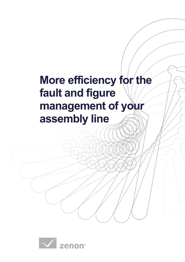# **More efficiency for the fault and figure management of your assembly line**

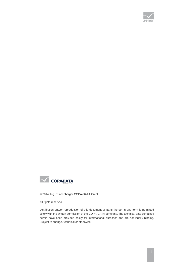



© 2014 Ing. Punzenberger COPA-DATA GmbH

All rights reserved.

Distribution and/or reproduction of this document or parts thereof in any form is permitted solely with the written permission of the COPA-DATA company. The technical data contained herein have been provided solely for informational purposes and are not legally binding. Subject to change, technical or otherwise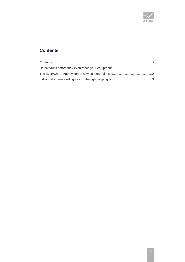

## <span id="page-2-0"></span>**Contents**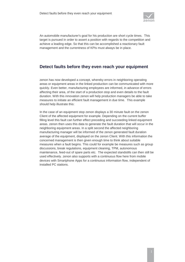

An automobile manufacturer's goal for his production are short cycle times. This target is pursued in order to assert a position with regards to the competition and achieve a leading edge. So that this can be accomplished a reactionary fault management and the currentness of KPIs must always be in place.

#### <span id="page-3-0"></span>**Detect faults before they even reach your equipment**

zenon has now developed a concept, whereby errors in neighboring operating areas or equipment areas in the linked production can be communicated with more quickly. Even better, manufacturing employees are informed, in advance of errors affecting their area, of the start of a production stop and even details to the fault duration. With this innovation zenon will help production managers be able to take measures to initiate an efficient fault management in due time. This example should help illustrate this:

In the case of an equipment stop zenon displays a 30 minute fault on the zenon Client of the affected equipment for example. Depending on the current buffer filling level this fault can further effect preceding and succeeding linked equipment areas. zenon then uses this data to generate the fault duration that will occur in the neighboring equipment areas. In a split second the affected neighboring manufacturing manager will be informed of the zenon generated fault duration average of the equipment, displayed on the zenon Client. With this information the concerned management is then given enough time to think about suitable measures when a fault begins. This could for example be measures such as group discussions, break regulations, equipment cleaning, TPM, autonomous maintenance, feed-out of spare parts etc. The expected standstills can then still be used effectively. zenon also supports with a continuous flow here from mobile devices with Smartphone Apps for a continuous information flow, independent of installed PC stations.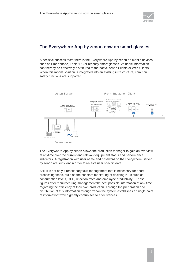

#### <span id="page-4-0"></span>**The Everywhere App by zenon now on smart glasses**

A decisive success factor here is the Everywhere App by zenon on mobile devices, such as Smartphone, Tablet PC or recently smart glasses. Valuable information can thereby be effectively distributed to the native zenon Clients or Web Clients. When this mobile solution is integrated into an existing infrastructure, common safety functions are supported.



The Everywhere App by zenon allows the production manager to gain an overview at anytime over the current and relevant equipment status and performance indicators. A registration with user name and password on the Everywhere Server by zenon are sufficient in order to receive user specific data.

Still, it is not only a reactionary fault management that is necessary for short processing times, but also the constant monitoring of deciding KPIs such as consumption levels, OEE, rejection rates and employee productivity. These figures offer manufacturing management the best possible information at any time regarding the efficiency of their own production. Through the preparation and distribution of this information through zenon the system establishes a "single point of information" which greatly contributes to effectiveness.